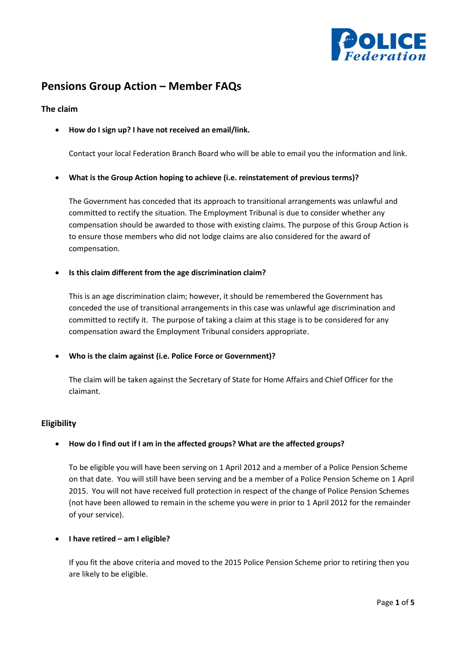

# **Pensions Group Action – Member FAQs**

## **The claim**

• **How do I sign up? I have not received an email/link.**

Contact your local Federation Branch Board who will be able to email you the information and link.

• **What is the Group Action hoping to achieve (i.e. reinstatement of previous terms)?**

The Government has conceded that its approach to transitional arrangements was unlawful and committed to rectify the situation. The Employment Tribunal is due to consider whether any compensation should be awarded to those with existing claims. The purpose of this Group Action is to ensure those members who did not lodge claims are also considered for the award of compensation.

• **Is this claim different from the age discrimination claim?**

This is an age discrimination claim; however, it should be remembered the Government has conceded the use of transitional arrangements in this case was unlawful age discrimination and committed to rectify it. The purpose of taking a claim at this stage is to be considered for any compensation award the Employment Tribunal considers appropriate.

• **Who is the claim against (i.e. Police Force or Government)?**

The claim will be taken against the Secretary of State for Home Affairs and Chief Officer for the claimant.

## **Eligibility**

#### • **How do I find out if I am in the affected groups? What are the affected groups?**

To be eligible you will have been serving on 1 April 2012 and a member of a Police Pension Scheme on that date. You will still have been serving and be a member of a Police Pension Scheme on 1 April 2015. You will not have received full protection in respect of the change of Police Pension Schemes (not have been allowed to remain in the scheme you were in prior to 1 April 2012 for the remainder of your service).

#### • **I have retired – am I eligible?**

If you fit the above criteria and moved to the 2015 Police Pension Scheme prior to retiring then you are likely to be eligible.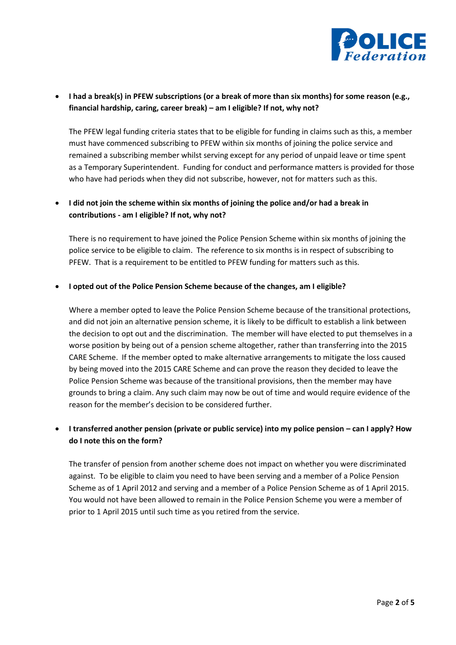

# • **I had a break(s) in PFEW subscriptions (or a break of more than six months) for some reason (e.g., financial hardship, caring, career break) – am I eligible? If not, why not?**

The PFEW legal funding criteria states that to be eligible for funding in claims such as this, a member must have commenced subscribing to PFEW within six months of joining the police service and remained a subscribing member whilst serving except for any period of unpaid leave or time spent as a Temporary Superintendent. Funding for conduct and performance matters is provided for those who have had periods when they did not subscribe, however, not for matters such as this.

# • **I did not join the scheme within six months of joining the police and/or had a break in contributions - am I eligible? If not, why not?**

There is no requirement to have joined the Police Pension Scheme within six months of joining the police service to be eligible to claim. The reference to six months is in respect of subscribing to PFEW. That is a requirement to be entitled to PFEW funding for matters such as this.

#### • **I opted out of the Police Pension Scheme because of the changes, am I eligible?**

Where a member opted to leave the Police Pension Scheme because of the transitional protections, and did not join an alternative pension scheme, it is likely to be difficult to establish a link between the decision to opt out and the discrimination. The member will have elected to put themselves in a worse position by being out of a pension scheme altogether, rather than transferring into the 2015 CARE Scheme. If the member opted to make alternative arrangements to mitigate the loss caused by being moved into the 2015 CARE Scheme and can prove the reason they decided to leave the Police Pension Scheme was because of the transitional provisions, then the member may have grounds to bring a claim. Any such claim may now be out of time and would require evidence of the reason for the member's decision to be considered further.

# • **I transferred another pension (private or public service) into my police pension – can I apply? How do I note this on the form?**

The transfer of pension from another scheme does not impact on whether you were discriminated against. To be eligible to claim you need to have been serving and a member of a Police Pension Scheme as of 1 April 2012 and serving and a member of a Police Pension Scheme as of 1 April 2015. You would not have been allowed to remain in the Police Pension Scheme you were a member of prior to 1 April 2015 until such time as you retired from the service.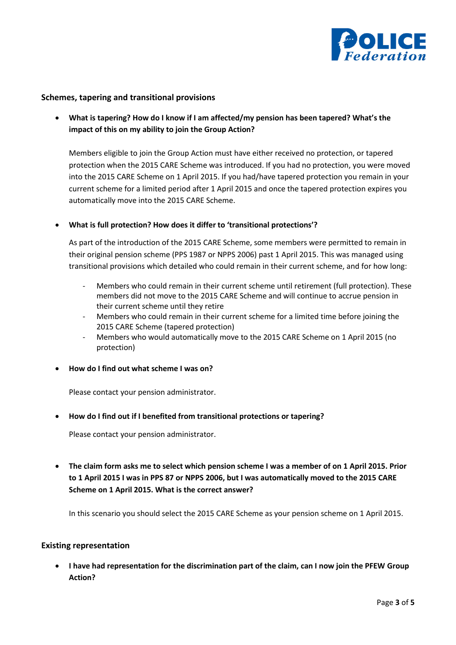

## **Schemes, tapering and transitional provisions**

• **What is tapering? How do I know if I am affected/my pension has been tapered? What's the impact of this on my ability to join the Group Action?**

Members eligible to join the Group Action must have either received no protection, or tapered protection when the 2015 CARE Scheme was introduced. If you had no protection, you were moved into the 2015 CARE Scheme on 1 April 2015. If you had/have tapered protection you remain in your current scheme for a limited period after 1 April 2015 and once the tapered protection expires you automatically move into the 2015 CARE Scheme.

## • **What is full protection? How does it differ to 'transitional protections'?**

As part of the introduction of the 2015 CARE Scheme, some members were permitted to remain in their original pension scheme (PPS 1987 or NPPS 2006) past 1 April 2015. This was managed using transitional provisions which detailed who could remain in their current scheme, and for how long:

- Members who could remain in their current scheme until retirement (full protection). These members did not move to the 2015 CARE Scheme and will continue to accrue pension in their current scheme until they retire
- Members who could remain in their current scheme for a limited time before joining the 2015 CARE Scheme (tapered protection)
- Members who would automatically move to the 2015 CARE Scheme on 1 April 2015 (no protection)
- **How do I find out what scheme I was on?**

Please contact your pension administrator.

#### • **How do I find out if I benefited from transitional protections or tapering?**

Please contact your pension administrator.

• **The claim form asks me to select which pension scheme I was a member of on 1 April 2015. Prior to 1 April 2015 I was in PPS 87 or NPPS 2006, but I was automatically moved to the 2015 CARE Scheme on 1 April 2015. What is the correct answer?**

In this scenario you should select the 2015 CARE Scheme as your pension scheme on 1 April 2015.

#### **Existing representation**

• **I have had representation for the discrimination part of the claim, can I now join the PFEW Group Action?**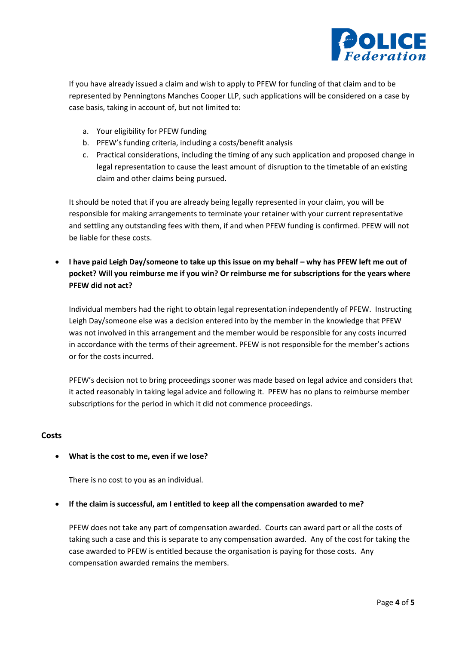

If you have already issued a claim and wish to apply to PFEW for funding of that claim and to be represented by Penningtons Manches Cooper LLP, such applications will be considered on a case by case basis, taking in account of, but not limited to:

- a. Your eligibility for PFEW funding
- b. PFEW's funding criteria, including a costs/benefit analysis
- c. Practical considerations, including the timing of any such application and proposed change in legal representation to cause the least amount of disruption to the timetable of an existing claim and other claims being pursued.

It should be noted that if you are already being legally represented in your claim, you will be responsible for making arrangements to terminate your retainer with your current representative and settling any outstanding fees with them, if and when PFEW funding is confirmed. PFEW will not be liable for these costs.

**•** I have paid Leigh Day/someone to take up this issue on my behalf – why has PFEW left me out of **pocket? Will you reimburse me if you win? Or reimburse me for subscriptions for the years where PFEW did not act?**

Individual members had the right to obtain legal representation independently of PFEW. Instructing Leigh Day/someone else was a decision entered into by the member in the knowledge that PFEW was not involved in this arrangement and the member would be responsible for any costs incurred in accordance with the terms of their agreement. PFEW is not responsible for the member's actions or for the costs incurred.

PFEW's decision not to bring proceedings sooner was made based on legal advice and considers that it acted reasonably in taking legal advice and following it. PFEW has no plans to reimburse member subscriptions for the period in which it did not commence proceedings.

#### **Costs**

#### • **What is the cost to me, even if we lose?**

There is no cost to you as an individual.

#### • **If the claim is successful, am I entitled to keep all the compensation awarded to me?**

PFEW does not take any part of compensation awarded. Courts can award part or all the costs of taking such a case and this is separate to any compensation awarded. Any of the cost for taking the case awarded to PFEW is entitled because the organisation is paying for those costs. Any compensation awarded remains the members.